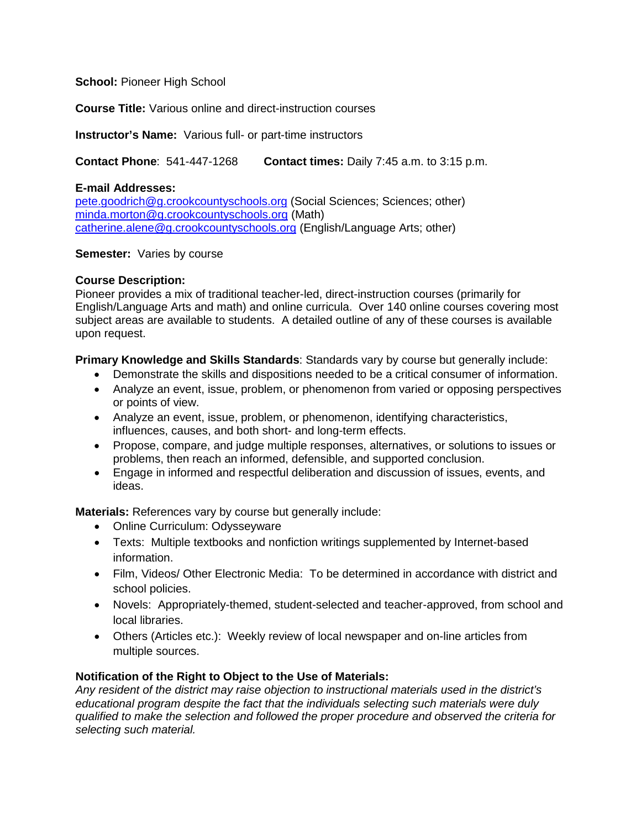**School:** Pioneer High School

**Course Title:** Various online and direct-instruction courses

**Instructor's Name:** Various full- or part-time instructors

**Contact Phone**: 541-447-1268 **Contact times:** Daily 7:45 a.m. to 3:15 p.m.

### **E-mail Addresses:**

pete.goodrich@g.crookcountyschools.org (Social Sciences; Sciences; other) [minda.morton@g.crookcountyschools.org](mailto:minda.morton@g.crookcountyschools.org) (Math) [catherine.alene@g.crookcountyschools.org](mailto:catherine.alene@g.crookcountyschools.org) (English/Language Arts; other)

### **Semester:** Varies by course

### **Course Description:**

Pioneer provides a mix of traditional teacher-led, direct-instruction courses (primarily for English/Language Arts and math) and online curricula. Over 140 online courses covering most subject areas are available to students. A detailed outline of any of these courses is available upon request.

**Primary Knowledge and Skills Standards**: Standards vary by course but generally include:

- Demonstrate the skills and dispositions needed to be a critical consumer of information.
- Analyze an event, issue, problem, or phenomenon from varied or opposing perspectives or points of view.
- Analyze an event, issue, problem, or phenomenon, identifying characteristics, influences, causes, and both short- and long-term effects.
- Propose, compare, and judge multiple responses, alternatives, or solutions to issues or problems, then reach an informed, defensible, and supported conclusion.
- Engage in informed and respectful deliberation and discussion of issues, events, and ideas.

**Materials:** References vary by course but generally include:

- Online Curriculum: Odysseyware
- Texts: Multiple textbooks and nonfiction writings supplemented by Internet-based information.
- Film, Videos/ Other Electronic Media: To be determined in accordance with district and school policies.
- Novels: Appropriately-themed, student-selected and teacher-approved, from school and local libraries.
- Others (Articles etc.): Weekly review of local newspaper and on-line articles from multiple sources.

# **Notification of the Right to Object to the Use of Materials:**

*Any resident of the district may raise objection to instructional materials used in the district's educational program despite the fact that the individuals selecting such materials were duly qualified to make the selection and followed the proper procedure and observed the criteria for selecting such material.*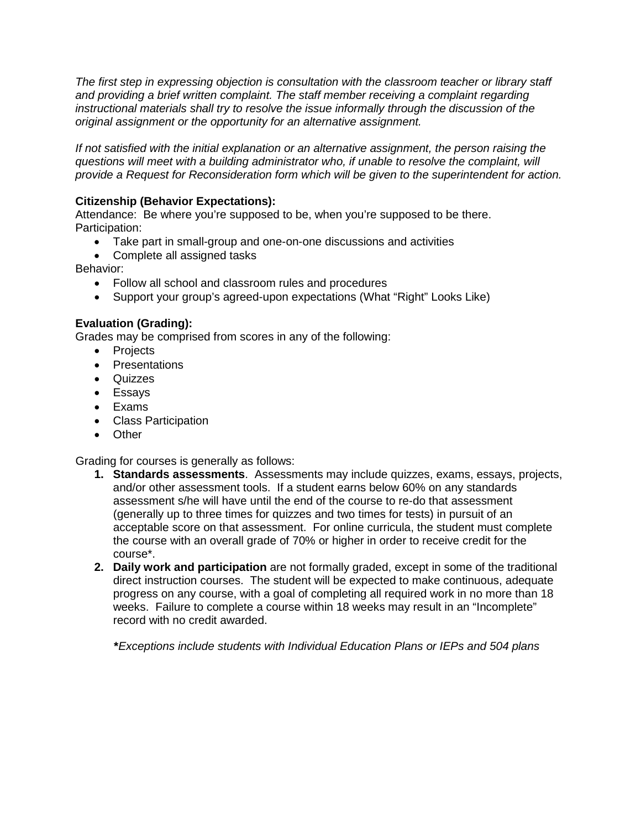*The first step in expressing objection is consultation with the classroom teacher or library staff and providing a brief written complaint. The staff member receiving a complaint regarding instructional materials shall try to resolve the issue informally through the discussion of the original assignment or the opportunity for an alternative assignment.* 

*If not satisfied with the initial explanation or an alternative assignment, the person raising the questions will meet with a building administrator who, if unable to resolve the complaint, will provide a Request for Reconsideration form which will be given to the superintendent for action.*

# **Citizenship (Behavior Expectations):**

Attendance: Be where you're supposed to be, when you're supposed to be there. Participation:

- Take part in small-group and one-on-one discussions and activities
- Complete all assigned tasks

Behavior:

- Follow all school and classroom rules and procedures
- Support your group's agreed-upon expectations (What "Right" Looks Like)

# **Evaluation (Grading):**

Grades may be comprised from scores in any of the following:

- Projects
- Presentations
- Quizzes
- Essays
- Exams
- Class Participation
- Other

Grading for courses is generally as follows:

- **1. Standards assessments**. Assessments may include quizzes, exams, essays, projects, and/or other assessment tools. If a student earns below 60% on any standards assessment s/he will have until the end of the course to re-do that assessment (generally up to three times for quizzes and two times for tests) in pursuit of an acceptable score on that assessment. For online curricula, the student must complete the course with an overall grade of 70% or higher in order to receive credit for the course\*.
- **2. Daily work and participation** are not formally graded, except in some of the traditional direct instruction courses.The student will be expected to make continuous, adequate progress on any course, with a goal of completing all required work in no more than 18 weeks. Failure to complete a course within 18 weeks may result in an "Incomplete" record with no credit awarded.

 **\****Exceptions include students with Individual Education Plans or IEPs and 504 plans*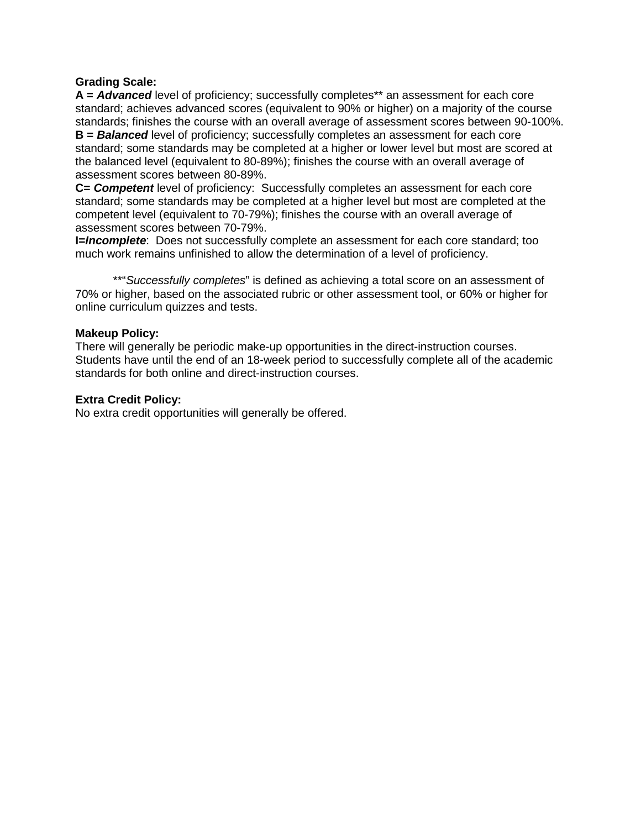## **Grading Scale:**

**A =** *Advanced* level of proficiency; successfully completes\*\* an assessment for each core standard; achieves advanced scores (equivalent to 90% or higher) on a majority of the course standards; finishes the course with an overall average of assessment scores between 90-100%. **B =** *Balanced* level of proficiency; successfully completes an assessment for each core standard; some standards may be completed at a higher or lower level but most are scored at the balanced level (equivalent to 80-89%); finishes the course with an overall average of assessment scores between 80-89%.

**C=** *Competent* level of proficiency: Successfully completes an assessment for each core standard; some standards may be completed at a higher level but most are completed at the competent level (equivalent to 70-79%); finishes the course with an overall average of assessment scores between 70-79%.

**I=***Incomplete*: Does not successfully complete an assessment for each core standard; too much work remains unfinished to allow the determination of a level of proficiency.

\*\*"*Successfully completes*" is defined as achieving a total score on an assessment of 70% or higher, based on the associated rubric or other assessment tool, or 60% or higher for online curriculum quizzes and tests.

#### **Makeup Policy:**

There will generally be periodic make-up opportunities in the direct-instruction courses. Students have until the end of an 18-week period to successfully complete all of the academic standards for both online and direct-instruction courses.

### **Extra Credit Policy:**

No extra credit opportunities will generally be offered.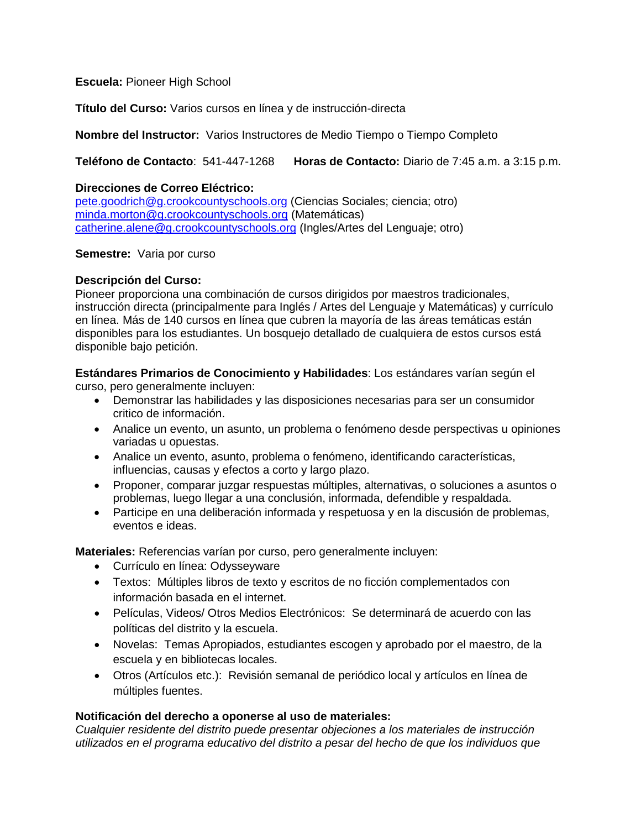# **Escuela:** Pioneer High School

**Título del Curso:** Varios cursos en línea y de instrucción-directa

## **Nombre del Instructor:** Varios Instructores de Medio Tiempo o Tiempo Completo

**Teléfono de Contacto**: 541-447-1268 **Horas de Contacto:** Diario de 7:45 a.m. a 3:15 p.m.

## **Direcciones de Correo Eléctrico:**

pete.goodrich@g.crookcountyschools.org (Ciencias Sociales; ciencia; otro) [minda.morton@g.crookcountyschools.org](mailto:minda.morton@g.crookcountyschools.org) (Matemáticas) [catherine.alene@g.crookcountyschools.org](mailto:catherine.alene@g.crookcountyschools.org) (Ingles/Artes del Lenguaje; otro)

### **Semestre:** Varia por curso

# **Descripción del Curso:**

Pioneer proporciona una combinación de cursos dirigidos por maestros tradicionales, instrucción directa (principalmente para Inglés / Artes del Lenguaje y Matemáticas) y currículo en línea. Más de 140 cursos en línea que cubren la mayoría de las áreas temáticas están disponibles para los estudiantes. Un bosquejo detallado de cualquiera de estos cursos está disponible bajo petición.

**Estándares Primarios de Conocimiento y Habilidades**: Los estándares varían según el curso, pero generalmente incluyen:

- Demonstrar las habilidades y las disposiciones necesarias para ser un consumidor critico de información.
- Analice un evento, un asunto, un problema o fenómeno desde perspectivas u opiniones variadas u opuestas.
- Analice un evento, asunto, problema o fenómeno, identificando características, influencias, causas y efectos a corto y largo plazo.
- Proponer, comparar juzgar respuestas múltiples, alternativas, o soluciones a asuntos o problemas, luego llegar a una conclusión, informada, defendible y respaldada.
- Participe en una deliberación informada y respetuosa y en la discusión de problemas, eventos e ideas.

**Materiales:** Referencias varían por curso, pero generalmente incluyen:

- Currículo en línea: Odysseyware
- Textos: Múltiples libros de texto y escritos de no ficción complementados con información basada en el internet.
- Películas, Videos/ Otros Medios Electrónicos: Se determinará de acuerdo con las políticas del distrito y la escuela.
- Novelas: Temas Apropiados, estudiantes escogen y aprobado por el maestro, de la escuela y en bibliotecas locales.
- Otros (Artículos etc.): Revisión semanal de periódico local y artículos en línea de múltiples fuentes.

# **Notificación del derecho a oponerse al uso de materiales:**

*Cualquier residente del distrito puede presentar objeciones a los materiales de instrucción utilizados en el programa educativo del distrito a pesar del hecho de que los individuos que*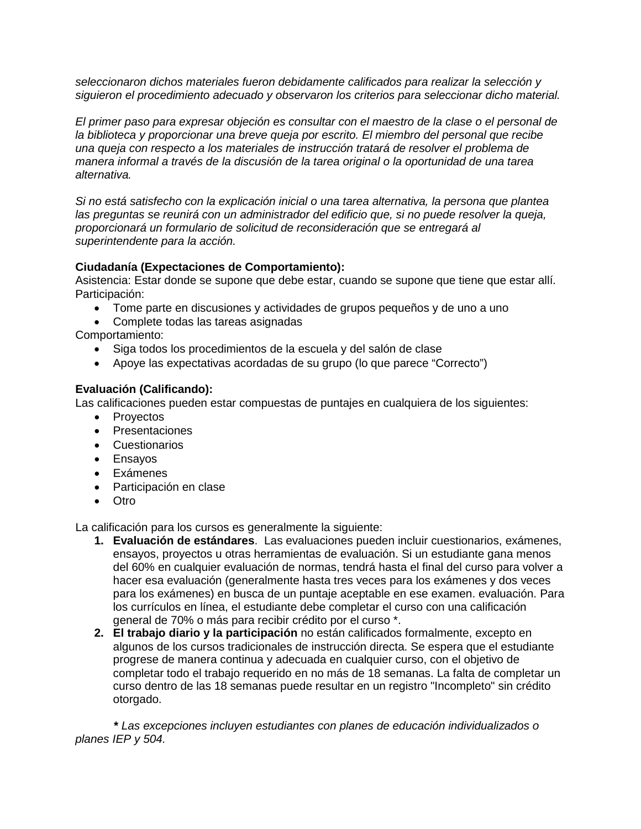*seleccionaron dichos materiales fueron debidamente calificados para realizar la selección y siguieron el procedimiento adecuado y observaron los criterios para seleccionar dicho material.* 

*El primer paso para expresar objeción es consultar con el maestro de la clase o el personal de la biblioteca y proporcionar una breve queja por escrito. El miembro del personal que recibe una queja con respecto a los materiales de instrucción tratará de resolver el problema de manera informal a través de la discusión de la tarea original o la oportunidad de una tarea alternativa.*

*Si no está satisfecho con la explicación inicial o una tarea alternativa, la persona que plantea las preguntas se reunirá con un administrador del edificio que, si no puede resolver la queja, proporcionará un formulario de solicitud de reconsideración que se entregará al superintendente para la acción.*

# **Ciudadanía (Expectaciones de Comportamiento):**

Asistencia: Estar donde se supone que debe estar, cuando se supone que tiene que estar allí. Participación:

- Tome parte en discusiones y actividades de grupos pequeños y de uno a uno
- Complete todas las tareas asignadas

Comportamiento:

- Siga todos los procedimientos de la escuela y del salón de clase
- Apoye las expectativas acordadas de su grupo (lo que parece "Correcto")

# **Evaluación (Calificando):**

Las calificaciones pueden estar compuestas de puntajes en cualquiera de los siguientes:

- Provectos
- Presentaciones
- Cuestionarios
- Ensayos
- Exámenes
- Participación en clase
- Otro

La calificación para los cursos es generalmente la siguiente:

- **1. Evaluación de estándares**. Las evaluaciones pueden incluir cuestionarios, exámenes, ensayos, proyectos u otras herramientas de evaluación. Si un estudiante gana menos del 60% en cualquier evaluación de normas, tendrá hasta el final del curso para volver a hacer esa evaluación (generalmente hasta tres veces para los exámenes y dos veces para los exámenes) en busca de un puntaje aceptable en ese examen. evaluación. Para los currículos en línea, el estudiante debe completar el curso con una calificación general de 70% o más para recibir crédito por el curso \*.
- **2. El trabajo diario y la participación** no están calificados formalmente, excepto en algunos de los cursos tradicionales de instrucción directa. Se espera que el estudiante progrese de manera continua y adecuada en cualquier curso, con el objetivo de completar todo el trabajo requerido en no más de 18 semanas. La falta de completar un curso dentro de las 18 semanas puede resultar en un registro "Incompleto" sin crédito otorgado.

 **\*** *Las excepciones incluyen estudiantes con planes de educación individualizados o planes IEP y 504.*